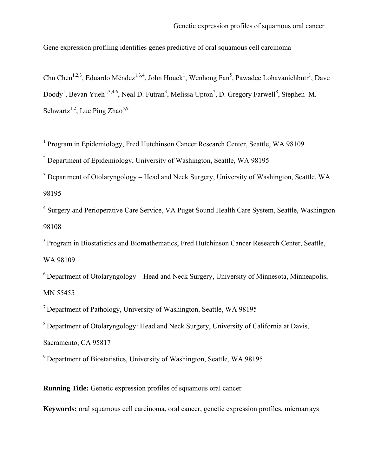Gene expression profiling identifies genes predictive of oral squamous cell carcinoma

Chu Chen<sup>1,2,3</sup>, Eduardo Méndez<sup>1,3,4</sup>, John Houck<sup>1</sup>, Wenhong Fan<sup>5</sup>, Pawadee Lohavanichbutr<sup>1</sup>, Dave Doody<sup>1</sup>, Bevan Yueh<sup>1,3,4,6</sup>, Neal D. Futran<sup>3</sup>, Melissa Upton<sup>7</sup>, D. Gregory Farwell<sup>8</sup>, Stephen M. Schwartz<sup>1,2</sup>, Lue Ping Zhao<sup>5,9</sup>

<sup>1</sup> Program in Epidemiology, Fred Hutchinson Cancer Research Center, Seattle, WA 98109

<sup>2</sup> Department of Epidemiology, University of Washington, Seattle, WA 98195

 $3$  Department of Otolaryngology – Head and Neck Surgery, University of Washington, Seattle, WA 98195

<sup>4</sup> Surgery and Perioperative Care Service, VA Puget Sound Health Care System, Seattle, Washington 98108

<sup>5</sup> Program in Biostatistics and Biomathematics, Fred Hutchinson Cancer Research Center, Seattle, WA 98109

 $6$  Department of Otolaryngology – Head and Neck Surgery, University of Minnesota, Minneapolis, MN 55455

7 Department of Pathology, University of Washington, Seattle, WA 98195

8 Department of Otolaryngology: Head and Neck Surgery, University of California at Davis,

Sacramento, CA 95817

9 Department of Biostatistics, University of Washington, Seattle, WA 98195

**Running Title:** Genetic expression profiles of squamous oral cancer

**Keywords:** oral squamous cell carcinoma, oral cancer, genetic expression profiles, microarrays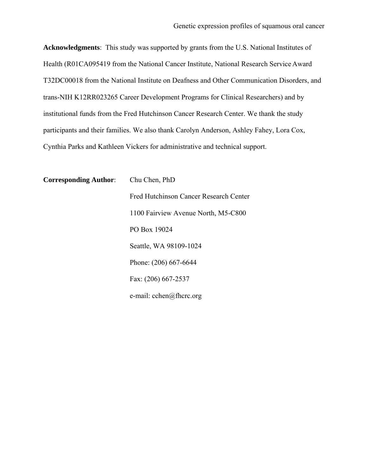**Acknowledgments**: This study was supported by grants from the U.S. National Institutes of Health (R01CA095419 from the National Cancer Institute, National Research Service Award T32DC00018 from the National Institute on Deafness and Other Communication Disorders, and trans-NIH K12RR023265 Career Development Programs for Clinical Researchers) and by institutional funds from the Fred Hutchinson Cancer Research Center. We thank the study participants and their families. We also thank Carolyn Anderson, Ashley Fahey, Lora Cox, Cynthia Parks and Kathleen Vickers for administrative and technical support.

**Corresponding Author**: Chu Chen, PhD Fred Hutchinson Cancer Research Center 1100 Fairview Avenue North, M5-C800 PO Box 19024 Seattle, WA 98109-1024 Phone: (206) 667-6644 Fax: (206) 667-2537 e-mail: cchen@fhcrc.org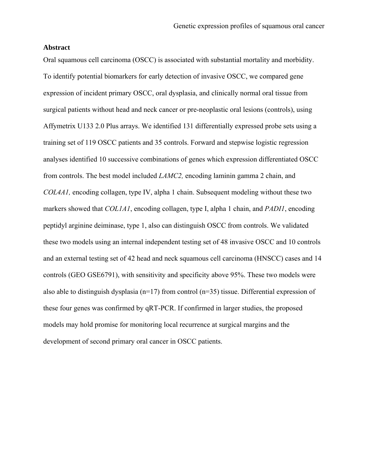#### **Abstract**

Oral squamous cell carcinoma (OSCC) is associated with substantial mortality and morbidity. To identify potential biomarkers for early detection of invasive OSCC, we compared gene expression of incident primary OSCC, oral dysplasia, and clinically normal oral tissue from surgical patients without head and neck cancer or pre-neoplastic oral lesions (controls), using Affymetrix U133 2.0 Plus arrays. We identified 131 differentially expressed probe sets using a training set of 119 OSCC patients and 35 controls. Forward and stepwise logistic regression analyses identified 10 successive combinations of genes which expression differentiated OSCC from controls. The best model included *LAMC2,* encoding laminin gamma 2 chain, and *COL4A1,* encoding collagen, type IV, alpha 1 chain. Subsequent modeling without these two markers showed that *COL1A1*, encoding collagen, type I, alpha 1 chain, and *PADI1*, encoding peptidyl arginine deiminase, type 1, also can distinguish OSCC from controls. We validated these two models using an internal independent testing set of 48 invasive OSCC and 10 controls and an external testing set of 42 head and neck squamous cell carcinoma (HNSCC) cases and 14 controls (GEO GSE6791), with sensitivity and specificity above 95%. These two models were also able to distinguish dysplasia (n=17) from control (n=35) tissue. Differential expression of these four genes was confirmed by qRT-PCR. If confirmed in larger studies, the proposed models may hold promise for monitoring local recurrence at surgical margins and the development of second primary oral cancer in OSCC patients.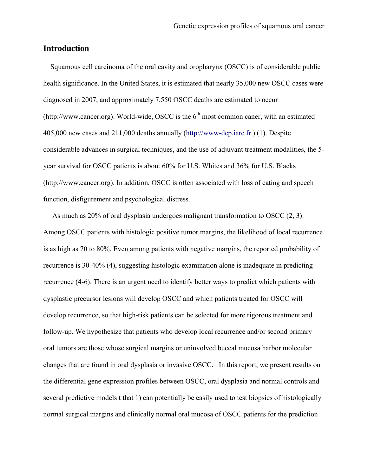# **Introduction**

 Squamous cell carcinoma of the oral cavity and oropharynx (OSCC) is of considerable public health significance. In the United States, it is estimated that nearly 35,000 new OSCC cases were diagnosed in 2007, and approximately 7,550 OSCC deaths are estimated to occur (http://www.cancer.org). World-wide, OSCC is the  $6<sup>th</sup>$  most common caner, with an estimated 405,000 new cases and 211,000 deaths annually (http://www-dep.iarc.fr ) (1). Despite considerable advances in surgical techniques, and the use of adjuvant treatment modalities, the 5 year survival for OSCC patients is about 60% for U.S. Whites and 36% for U.S. Blacks (http://www.cancer.org). In addition, OSCC is often associated with loss of eating and speech function, disfigurement and psychological distress.

As much as 20% of oral dysplasia undergoes malignant transformation to OSCC (2, 3). Among OSCC patients with histologic positive tumor margins, the likelihood of local recurrence is as high as 70 to 80%. Even among patients with negative margins, the reported probability of recurrence is 30-40% (4), suggesting histologic examination alone is inadequate in predicting recurrence (4-6). There is an urgent need to identify better ways to predict which patients with dysplastic precursor lesions will develop OSCC and which patients treated for OSCC will develop recurrence, so that high-risk patients can be selected for more rigorous treatment and follow-up. We hypothesize that patients who develop local recurrence and/or second primary oral tumors are those whose surgical margins or uninvolved buccal mucosa harbor molecular changes that are found in oral dysplasia or invasive OSCC. In this report, we present results on the differential gene expression profiles between OSCC, oral dysplasia and normal controls and several predictive models t that 1) can potentially be easily used to test biopsies of histologically normal surgical margins and clinically normal oral mucosa of OSCC patients for the prediction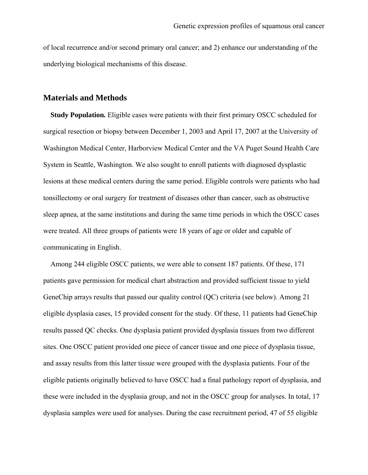of local recurrence and/or second primary oral cancer; and 2) enhance our understanding of the underlying biological mechanisms of this disease.

## **Materials and Methods**

 **Study Population***.* Eligible cases were patients with their first primary OSCC scheduled for surgical resection or biopsy between December 1, 2003 and April 17, 2007 at the University of Washington Medical Center, Harborview Medical Center and the VA Puget Sound Health Care System in Seattle, Washington. We also sought to enroll patients with diagnosed dysplastic lesions at these medical centers during the same period. Eligible controls were patients who had tonsillectomy or oral surgery for treatment of diseases other than cancer, such as obstructive sleep apnea, at the same institutions and during the same time periods in which the OSCC cases were treated. All three groups of patients were 18 years of age or older and capable of communicating in English.

 Among 244 eligible OSCC patients, we were able to consent 187 patients. Of these, 171 patients gave permission for medical chart abstraction and provided sufficient tissue to yield GeneChip arrays results that passed our quality control (QC) criteria (see below). Among 21 eligible dysplasia cases, 15 provided consent for the study. Of these, 11 patients had GeneChip results passed QC checks. One dysplasia patient provided dysplasia tissues from two different sites. One OSCC patient provided one piece of cancer tissue and one piece of dysplasia tissue, and assay results from this latter tissue were grouped with the dysplasia patients. Four of the eligible patients originally believed to have OSCC had a final pathology report of dysplasia, and these were included in the dysplasia group, and not in the OSCC group for analyses. In total, 17 dysplasia samples were used for analyses. During the case recruitment period, 47 of 55 eligible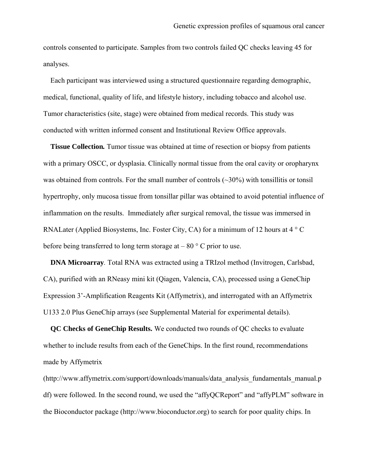controls consented to participate. Samples from two controls failed QC checks leaving 45 for analyses.

 Each participant was interviewed using a structured questionnaire regarding demographic, medical, functional, quality of life, and lifestyle history, including tobacco and alcohol use. Tumor characteristics (site, stage) were obtained from medical records. This study was conducted with written informed consent and Institutional Review Office approvals.

 **Tissue Collection***.* Tumor tissue was obtained at time of resection or biopsy from patients with a primary OSCC, or dysplasia. Clinically normal tissue from the oral cavity or oropharynx was obtained from controls. For the small number of controls  $(\sim 30\%)$  with tonsillitis or tonsil hypertrophy, only mucosa tissue from tonsillar pillar was obtained to avoid potential influence of inflammation on the results. Immediately after surgical removal, the tissue was immersed in RNALater (Applied Biosystems, Inc. Foster City, CA) for a minimum of 12 hours at 4 ° C before being transferred to long term storage at  $-80$  ° C prior to use.

**DNA Microarray**. Total RNA was extracted using a TRIzol method (Invitrogen, Carlsbad, CA), purified with an RNeasy mini kit (Qiagen, Valencia, CA), processed using a GeneChip Expression 3'-Amplification Reagents Kit (Affymetrix), and interrogated with an Affymetrix U133 2.0 Plus GeneChip arrays (see Supplemental Material for experimental details).

**QC Checks of GeneChip Results.** We conducted two rounds of QC checks to evaluate whether to include results from each of the GeneChips. In the first round, recommendations made by Affymetrix

(http://www.affymetrix.com/support/downloads/manuals/data\_analysis\_fundamentals\_manual.p df) were followed. In the second round, we used the "affyQCReport" and "affyPLM" software in the Bioconductor package (http://www.bioconductor.org) to search for poor quality chips. In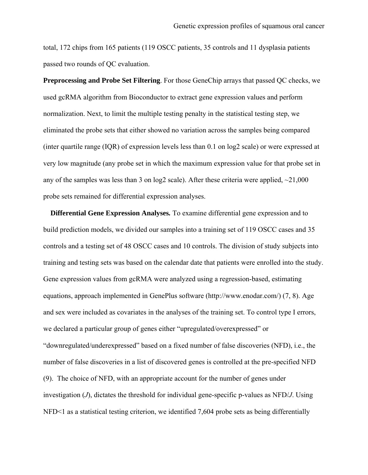total, 172 chips from 165 patients (119 OSCC patients, 35 controls and 11 dysplasia patients passed two rounds of QC evaluation.

**Preprocessing and Probe Set Filtering**. For those GeneChip arrays that passed QC checks, we used gcRMA algorithm from Bioconductor to extract gene expression values and perform normalization. Next, to limit the multiple testing penalty in the statistical testing step, we eliminated the probe sets that either showed no variation across the samples being compared (inter quartile range (IQR) of expression levels less than 0.1 on log2 scale) or were expressed at very low magnitude (any probe set in which the maximum expression value for that probe set in any of the samples was less than 3 on log2 scale). After these criteria were applied,  $\sim$ 21,000 probe sets remained for differential expression analyses.

**Differential Gene Expression Analyses.** To examine differential gene expression and to build prediction models, we divided our samples into a training set of 119 OSCC cases and 35 controls and a testing set of 48 OSCC cases and 10 controls. The division of study subjects into training and testing sets was based on the calendar date that patients were enrolled into the study. Gene expression values from gcRMA were analyzed using a regression-based, estimating equations, approach implemented in GenePlus software (http://www.enodar.com/) (7, 8). Age and sex were included as covariates in the analyses of the training set. To control type I errors, we declared a particular group of genes either "upregulated/overexpressed" or "downregulated/underexpressed" based on a fixed number of false discoveries (NFD), i.e., the number of false discoveries in a list of discovered genes is controlled at the pre-specified NFD (9). The choice of NFD, with an appropriate account for the number of genes under investigation (*J*), dictates the threshold for individual gene-specific p-values as NFD/*J*. Using NFD<1 as a statistical testing criterion, we identified 7,604 probe sets as being differentially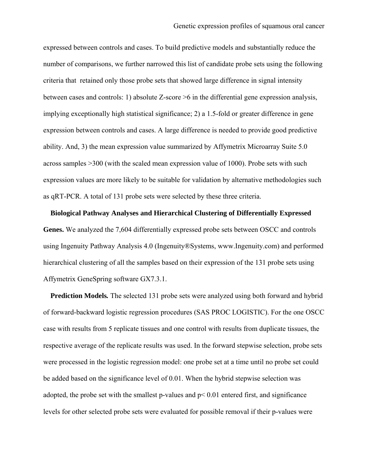expressed between controls and cases. To build predictive models and substantially reduce the number of comparisons, we further narrowed this list of candidate probe sets using the following criteria that retained only those probe sets that showed large difference in signal intensity between cases and controls: 1) absolute Z-score >6 in the differential gene expression analysis, implying exceptionally high statistical significance; 2) a 1.5-fold or greater difference in gene expression between controls and cases. A large difference is needed to provide good predictive ability. And, 3) the mean expression value summarized by Affymetrix Microarray Suite 5.0 across samples >300 (with the scaled mean expression value of 1000). Probe sets with such expression values are more likely to be suitable for validation by alternative methodologies such as qRT-PCR. A total of 131 probe sets were selected by these three criteria.

**Biological Pathway Analyses and Hierarchical Clustering of Differentially Expressed Genes.** We analyzed the 7,604 differentially expressed probe sets between OSCC and controls using Ingenuity Pathway Analysis 4.0 (Ingenuity®Systems, www.Ingenuity.com) and performed hierarchical clustering of all the samples based on their expression of the 131 probe sets using Affymetrix GeneSpring software GX7.3.1.

**Prediction Models.** The selected 131 probe sets were analyzed using both forward and hybrid of forward-backward logistic regression procedures (SAS PROC LOGISTIC). For the one OSCC case with results from 5 replicate tissues and one control with results from duplicate tissues, the respective average of the replicate results was used. In the forward stepwise selection, probe sets were processed in the logistic regression model: one probe set at a time until no probe set could be added based on the significance level of 0.01. When the hybrid stepwise selection was adopted, the probe set with the smallest p-values and  $p < 0.01$  entered first, and significance levels for other selected probe sets were evaluated for possible removal if their p-values were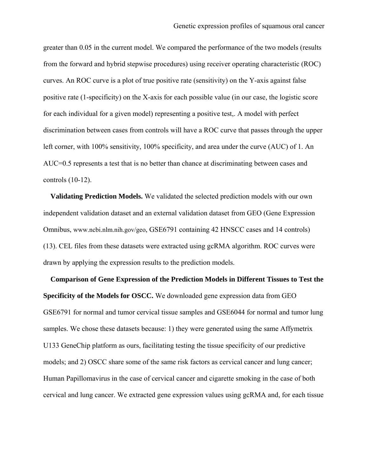greater than 0.05 in the current model. We compared the performance of the two models (results from the forward and hybrid stepwise procedures) using receiver operating characteristic (ROC) curves. An ROC curve is a plot of true positive rate (sensitivity) on the Y-axis against false positive rate (1-specificity) on the X-axis for each possible value (in our case, the logistic score for each individual for a given model) representing a positive test,. A model with perfect discrimination between cases from controls will have a ROC curve that passes through the upper left corner, with 100% sensitivity, 100% specificity, and area under the curve (AUC) of 1. An AUC=0.5 represents a test that is no better than chance at discriminating between cases and controls (10-12).

**Validating Prediction Models.** We validated the selected prediction models with our own independent validation dataset and an external validation dataset from GEO (Gene Expression Omnibus, www.ncbi.nlm.nih.gov/geo, GSE6791 containing 42 HNSCC cases and 14 controls) (13). CEL files from these datasets were extracted using gcRMA algorithm. ROC curves were drawn by applying the expression results to the prediction models.

**Comparison of Gene Expression of the Prediction Models in Different Tissues to Test the Specificity of the Models for OSCC.** We downloaded gene expression data from GEO GSE6791 for normal and tumor cervical tissue samples and GSE6044 for normal and tumor lung samples. We chose these datasets because: 1) they were generated using the same Affymetrix U133 GeneChip platform as ours, facilitating testing the tissue specificity of our predictive models; and 2) OSCC share some of the same risk factors as cervical cancer and lung cancer; Human Papillomavirus in the case of cervical cancer and cigarette smoking in the case of both cervical and lung cancer. We extracted gene expression values using gcRMA and, for each tissue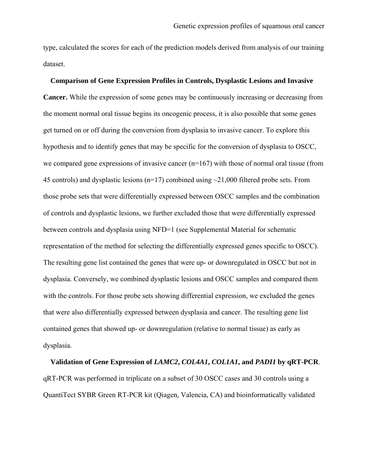type, calculated the scores for each of the prediction models derived from analysis of our training dataset.

#### **Comparison of Gene Expression Profiles in Controls, Dysplastic Lesions and Invasive**

**Cancer.** While the expression of some genes may be continuously increasing or decreasing from the moment normal oral tissue begins its oncogenic process, it is also possible that some genes get turned on or off during the conversion from dysplasia to invasive cancer. To explore this hypothesis and to identify genes that may be specific for the conversion of dysplasia to OSCC, we compared gene expressions of invasive cancer  $(n=167)$  with those of normal oral tissue (from 45 controls) and dysplastic lesions ( $n=17$ ) combined using  $\sim$ 21,000 filtered probe sets. From those probe sets that were differentially expressed between OSCC samples and the combination of controls and dysplastic lesions, we further excluded those that were differentially expressed between controls and dysplasia using NFD=1 (see Supplemental Material for schematic representation of the method for selecting the differentially expressed genes specific to OSCC). The resulting gene list contained the genes that were up- or downregulated in OSCC but not in dysplasia. Conversely, we combined dysplastic lesions and OSCC samples and compared them with the controls. For those probe sets showing differential expression, we excluded the genes that were also differentially expressed between dysplasia and cancer. The resulting gene list contained genes that showed up- or downregulation (relative to normal tissue) as early as dysplasia.

**Validation of Gene Expression of** *LAMC2***,** *COL4A1***,** *COL1A1***, and** *PADI1* **by qRT-PCR**. qRT-PCR was performed in triplicate on a subset of 30 OSCC cases and 30 controls using a QuantiTect SYBR Green RT-PCR kit (Qiagen, Valencia, CA) and bioinformatically validated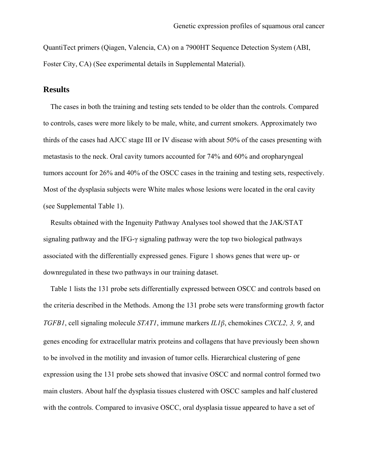QuantiTect primers (Qiagen, Valencia, CA) on a 7900HT Sequence Detection System (ABI, Foster City, CA) (See experimental details in Supplemental Material).

### **Results**

 The cases in both the training and testing sets tended to be older than the controls. Compared to controls, cases were more likely to be male, white, and current smokers. Approximately two thirds of the cases had AJCC stage III or IV disease with about 50% of the cases presenting with metastasis to the neck. Oral cavity tumors accounted for 74% and 60% and oropharyngeal tumors account for 26% and 40% of the OSCC cases in the training and testing sets, respectively. Most of the dysplasia subjects were White males whose lesions were located in the oral cavity (see Supplemental Table 1).

 Results obtained with the Ingenuity Pathway Analyses tool showed that the JAK/STAT signaling pathway and the IFG-γ signaling pathway were the top two biological pathways associated with the differentially expressed genes. Figure 1 shows genes that were up- or downregulated in these two pathways in our training dataset.

 Table 1 lists the 131 probe sets differentially expressed between OSCC and controls based on the criteria described in the Methods. Among the 131 probe sets were transforming growth factor *TGFB1*, cell signaling molecule *STAT1*, immune markers *IL1β*, chemokines *CXCL2, 3, 9*, and genes encoding for extracellular matrix proteins and collagens that have previously been shown to be involved in the motility and invasion of tumor cells. Hierarchical clustering of gene expression using the 131 probe sets showed that invasive OSCC and normal control formed two main clusters. About half the dysplasia tissues clustered with OSCC samples and half clustered with the controls. Compared to invasive OSCC, oral dysplasia tissue appeared to have a set of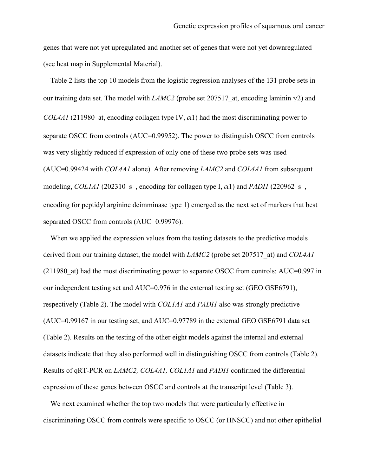genes that were not yet upregulated and another set of genes that were not yet downregulated (see heat map in Supplemental Material).

 Table 2 lists the top 10 models from the logistic regression analyses of the 131 probe sets in our training data set. The model with *LAMC2* (probe set 207517 at, encoding laminin  $\gamma$ 2) and *COL4A1* (211980 at, encoding collagen type IV,  $\alpha$ 1) had the most discriminating power to separate OSCC from controls (AUC=0.99952). The power to distinguish OSCC from controls was very slightly reduced if expression of only one of these two probe sets was used (AUC=0.99424 with *COL4A1* alone). After removing *LAMC2* and *COL4A1* from subsequent modeling, *COL1A1* (202310 s, encoding for collagen type I,  $\alpha$ 1) and *PADI1* (220962 s, encoding for peptidyl arginine deimminase type 1) emerged as the next set of markers that best separated OSCC from controls (AUC=0.99976).

When we applied the expression values from the testing datasets to the predictive models derived from our training dataset, the model with *LAMC2* (probe set 207517\_at) and *COL4A1* (211980\_at) had the most discriminating power to separate OSCC from controls: AUC=0.997 in our independent testing set and AUC=0.976 in the external testing set (GEO GSE6791), respectively (Table 2). The model with *COL1A1* and *PADI1* also was strongly predictive (AUC=0.99167 in our testing set, and AUC=0.97789 in the external GEO GSE6791 data set (Table 2). Results on the testing of the other eight models against the internal and external datasets indicate that they also performed well in distinguishing OSCC from controls (Table 2). Results of qRT-PCR on *LAMC2, COL4A1, COL1A1* and *PADI1* confirmed the differential expression of these genes between OSCC and controls at the transcript level (Table 3).

 We next examined whether the top two models that were particularly effective in discriminating OSCC from controls were specific to OSCC (or HNSCC) and not other epithelial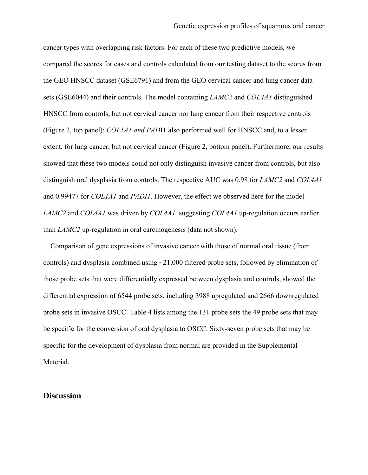cancer types with overlapping risk factors. For each of these two predictive models, we compared the scores for cases and controls calculated from our testing dataset to the scores from the GEO HNSCC dataset (GSE6791) and from the GEO cervical cancer and lung cancer data sets (GSE6044) and their controls. The model containing *LAMC2* and *COL4A1* distinguished HNSCC from controls, but not cervical cancer nor lung cancer from their respective controls (Figure 2, top panel); *COL1A1 and PAD*I1 also performed well for HNSCC and, to a lesser extent, for lung cancer, but not cervical cancer (Figure 2, bottom panel). Furthermore, our results showed that these two models could not only distinguish invasive cancer from controls, but also distinguish oral dysplasia from controls. The respective AUC was 0.98 for *LAMC2* and *COL4A1* and 0.99477 for *COL1A1* and *PADI1*. However, the effect we observed here for the model *LAMC2* and *COL4A1* was driven by *COL4A1,* suggesting *COL4A1* up-regulation occurs earlier than *LAMC2* up-regulation in oral carcinogenesis (data not shown).

 Comparison of gene expressions of invasive cancer with those of normal oral tissue (from controls) and dysplasia combined using  $\sim$ 21,000 filtered probe sets, followed by elimination of those probe sets that were differentially expressed between dysplasia and controls, showed the differential expression of 6544 probe sets, including 3988 upregulated and 2666 downregulated probe sets in invasive OSCC. Table 4 lists among the 131 probe sets the 49 probe sets that may be specific for the conversion of oral dysplasia to OSCC. Sixty-seven probe sets that may be specific for the development of dysplasia from normal are provided in the Supplemental Material.

#### **Discussion**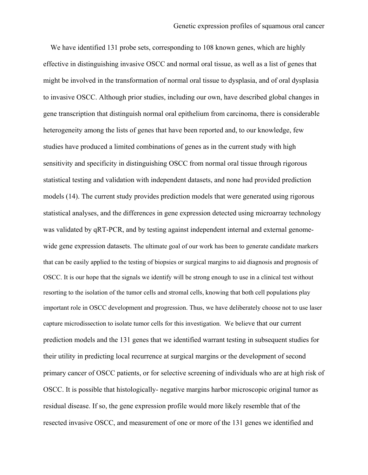We have identified 131 probe sets, corresponding to 108 known genes, which are highly effective in distinguishing invasive OSCC and normal oral tissue, as well as a list of genes that might be involved in the transformation of normal oral tissue to dysplasia, and of oral dysplasia to invasive OSCC. Although prior studies, including our own, have described global changes in gene transcription that distinguish normal oral epithelium from carcinoma, there is considerable heterogeneity among the lists of genes that have been reported and, to our knowledge, few studies have produced a limited combinations of genes as in the current study with high sensitivity and specificity in distinguishing OSCC from normal oral tissue through rigorous statistical testing and validation with independent datasets, and none had provided prediction models (14). The current study provides prediction models that were generated using rigorous statistical analyses, and the differences in gene expression detected using microarray technology was validated by qRT-PCR, and by testing against independent internal and external genomewide gene expression datasets. The ultimate goal of our work has been to generate candidate markers that can be easily applied to the testing of biopsies or surgical margins to aid diagnosis and prognosis of OSCC. It is our hope that the signals we identify will be strong enough to use in a clinical test without resorting to the isolation of the tumor cells and stromal cells, knowing that both cell populations play important role in OSCC development and progression. Thus, we have deliberately choose not to use laser capture microdissection to isolate tumor cells for this investigation. We believe that our current prediction models and the 131 genes that we identified warrant testing in subsequent studies for their utility in predicting local recurrence at surgical margins or the development of second primary cancer of OSCC patients, or for selective screening of individuals who are at high risk of OSCC. It is possible that histologically- negative margins harbor microscopic original tumor as residual disease. If so, the gene expression profile would more likely resemble that of the resected invasive OSCC, and measurement of one or more of the 131 genes we identified and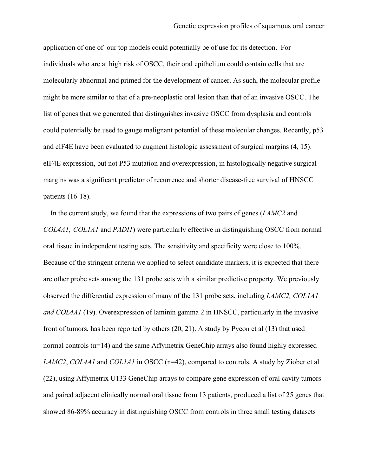application of one of our top models could potentially be of use for its detection. For individuals who are at high risk of OSCC, their oral epithelium could contain cells that are molecularly abnormal and primed for the development of cancer. As such, the molecular profile might be more similar to that of a pre-neoplastic oral lesion than that of an invasive OSCC. The list of genes that we generated that distinguishes invasive OSCC from dysplasia and controls could potentially be used to gauge malignant potential of these molecular changes. Recently, p53 and eIF4E have been evaluated to augment histologic assessment of surgical margins (4, 15). eIF4E expression, but not P53 mutation and overexpression, in histologically negative surgical margins was a significant predictor of recurrence and shorter disease-free survival of HNSCC patients (16-18).

 In the current study, we found that the expressions of two pairs of genes (*LAMC2* and *COL4A1; COL1A1* and *PADI1*) were particularly effective in distinguishing OSCC from normal oral tissue in independent testing sets. The sensitivity and specificity were close to 100%. Because of the stringent criteria we applied to select candidate markers, it is expected that there are other probe sets among the 131 probe sets with a similar predictive property. We previously observed the differential expression of many of the 131 probe sets, including *LAMC2, COL1A1 and COL4A1* (19). Overexpression of laminin gamma 2 in HNSCC, particularly in the invasive front of tumors, has been reported by others (20, 21). A study by Pyeon et al (13) that used normal controls (n=14) and the same Affymetrix GeneChip arrays also found highly expressed *LAMC2*, *COL4A1* and *COL1A1* in OSCC (n=42), compared to controls. A study by Ziober et al (22), using Affymetrix U133 GeneChip arrays to compare gene expression of oral cavity tumors and paired adjacent clinically normal oral tissue from 13 patients, produced a list of 25 genes that showed 86-89% accuracy in distinguishing OSCC from controls in three small testing datasets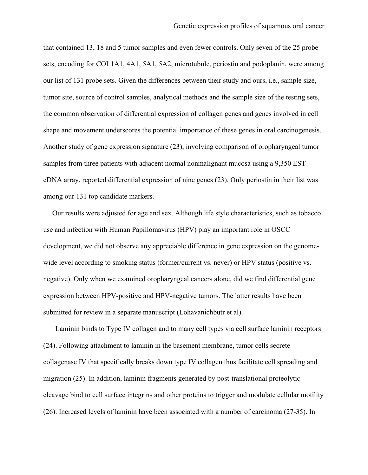that contained 13, 18 and 5 tumor samples and even fewer controls. Only seven of the 25 probe sets, encoding for COL1A1, 4A1, 5A1, 5A2, microtubule, periostin and podoplanin, were among our list of 131 probe sets. Given the differences between their study and ours, i.e., sample size, tumor site, source of control samples, analytical methods and the sample size of the testing sets, the common observation of differential expression of collagen genes and genes involved in cell shape and movement underscores the potential importance of these genes in oral carcinogenesis. Another study of gene expression signature (23), involving comparison of oropharyngeal tumor samples from three patients with adjacent normal nonmalignant mucosa using a 9,350 EST cDNA array, reported differential expression of nine genes (23). Only periostin in their list was among our 131 top candidate markers.

 Our results were adjusted for age and sex. Although life style characteristics, such as tobacco use and infection with Human Papillomavirus (HPV) play an important role in OSCC development, we did not observe any appreciable difference in gene expression on the genomewide level according to smoking status (former/current vs. never) or HPV status (positive vs. negative). Only when we examined oropharyngeal cancers alone, did we find differential gene expression between HPV-positive and HPV-negative tumors. The latter results have been submitted for review in a separate manuscript (Lohavanichbutr et al).

 Laminin binds to Type IV collagen and to many cell types via cell surface laminin receptors (24). Following attachment to laminin in the basement membrane, tumor cells secrete collagenase IV that specifically breaks down type IV collagen thus facilitate cell spreading and migration (25). In addition, laminin fragments generated by post-translational proteolytic cleavage bind to cell surface integrins and other proteins to trigger and modulate cellular motility (26). Increased levels of laminin have been associated with a number of carcinoma (27-35). In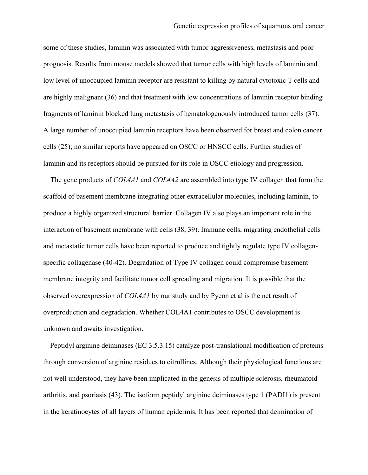some of these studies, laminin was associated with tumor aggressiveness, metastasis and poor prognosis. Results from mouse models showed that tumor cells with high levels of laminin and low level of unoccupied laminin receptor are resistant to killing by natural cytotoxic T cells and are highly malignant (36) and that treatment with low concentrations of laminin receptor binding fragments of laminin blocked lung metastasis of hematologenously introduced tumor cells (37). A large number of unoccupied laminin receptors have been observed for breast and colon cancer cells (25); no similar reports have appeared on OSCC or HNSCC cells. Further studies of laminin and its receptors should be pursued for its role in OSCC etiology and progression.

 The gene products of *COL4A1* and *COL4A2* are assembled into type IV collagen that form the scaffold of basement membrane integrating other extracellular molecules, including laminin, to produce a highly organized structural barrier. Collagen IV also plays an important role in the interaction of basement membrane with cells (38, 39). Immune cells, migrating endothelial cells and metastatic tumor cells have been reported to produce and tightly regulate type IV collagenspecific collagenase (40-42). Degradation of Type IV collagen could compromise basement membrane integrity and facilitate tumor cell spreading and migration. It is possible that the observed overexpression of *COL4A1* by our study and by Pyeon et al is the net result of overproduction and degradation. Whether COL4A1 contributes to OSCC development is unknown and awaits investigation.

 Peptidyl arginine deiminases (EC 3.5.3.15) catalyze post-translational modification of proteins through conversion of arginine residues to citrullines. Although their physiological functions are not well understood, they have been implicated in the genesis of multiple sclerosis, rheumatoid arthritis, and psoriasis (43). The isoform peptidyl arginine deiminases type 1 (PADI1) is present in the keratinocytes of all layers of human epidermis. It has been reported that deimination of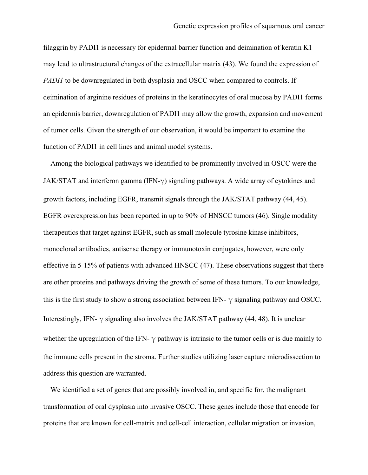filaggrin by PADI1 is necessary for epidermal barrier function and deimination of keratin K1 may lead to ultrastructural changes of the extracellular matrix (43). We found the expression of *PADI1* to be downregulated in both dysplasia and OSCC when compared to controls. If deimination of arginine residues of proteins in the keratinocytes of oral mucosa by PADI1 forms an epidermis barrier, downregulation of PADI1 may allow the growth, expansion and movement of tumor cells. Given the strength of our observation, it would be important to examine the function of PADI1 in cell lines and animal model systems.

 Among the biological pathways we identified to be prominently involved in OSCC were the JAK/STAT and interferon gamma (IFN- $\gamma$ ) signaling pathways. A wide array of cytokines and growth factors, including EGFR, transmit signals through the JAK/STAT pathway (44, 45). EGFR overexpression has been reported in up to 90% of HNSCC tumors (46). Single modality therapeutics that target against EGFR, such as small molecule tyrosine kinase inhibitors, monoclonal antibodies, antisense therapy or immunotoxin conjugates, however, were only effective in 5-15% of patients with advanced HNSCC (47). These observations suggest that there are other proteins and pathways driving the growth of some of these tumors. To our knowledge, this is the first study to show a strong association between IFN-  $\gamma$  signaling pathway and OSCC. Interestingly, IFN-  $\gamma$  signaling also involves the JAK/STAT pathway (44, 48). It is unclear whether the upregulation of the IFN-  $\gamma$  pathway is intrinsic to the tumor cells or is due mainly to the immune cells present in the stroma. Further studies utilizing laser capture microdissection to address this question are warranted.

 We identified a set of genes that are possibly involved in, and specific for, the malignant transformation of oral dysplasia into invasive OSCC. These genes include those that encode for proteins that are known for cell-matrix and cell-cell interaction, cellular migration or invasion,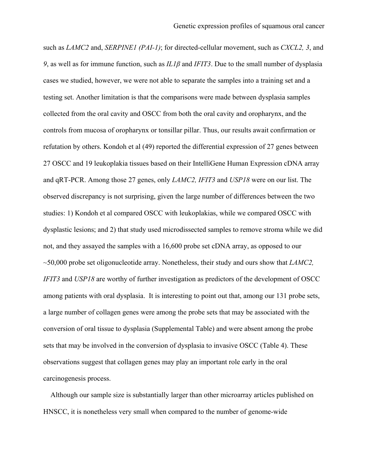such as *LAMC2* and, *SERPINE1 (PAI-1)*; for directed-cellular movement, such as *CXCL2, 3*, and *9*, as well as for immune function, such as *IL1β* and *IFIT3*. Due to the small number of dysplasia cases we studied, however, we were not able to separate the samples into a training set and a testing set. Another limitation is that the comparisons were made between dysplasia samples collected from the oral cavity and OSCC from both the oral cavity and oropharynx, and the controls from mucosa of oropharynx or tonsillar pillar. Thus, our results await confirmation or refutation by others. Kondoh et al (49) reported the differential expression of 27 genes between 27 OSCC and 19 leukoplakia tissues based on their IntelliGene Human Expression cDNA array and qRT-PCR. Among those 27 genes, only *LAMC2, IFIT3* and *USP18* were on our list. The observed discrepancy is not surprising, given the large number of differences between the two studies: 1) Kondoh et al compared OSCC with leukoplakias, while we compared OSCC with dysplastic lesions; and 2) that study used microdissected samples to remove stroma while we did not, and they assayed the samples with a 16,600 probe set cDNA array, as opposed to our ~50,000 probe set oligonucleotide array. Nonetheless, their study and ours show that *LAMC2, IFIT3* and *USP18* are worthy of further investigation as predictors of the development of OSCC among patients with oral dysplasia. It is interesting to point out that, among our 131 probe sets, a large number of collagen genes were among the probe sets that may be associated with the conversion of oral tissue to dysplasia (Supplemental Table) and were absent among the probe sets that may be involved in the conversion of dysplasia to invasive OSCC (Table 4). These observations suggest that collagen genes may play an important role early in the oral carcinogenesis process.

 Although our sample size is substantially larger than other microarray articles published on HNSCC, it is nonetheless very small when compared to the number of genome-wide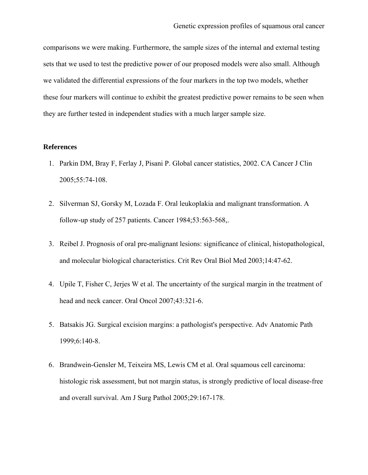comparisons we were making. Furthermore, the sample sizes of the internal and external testing sets that we used to test the predictive power of our proposed models were also small. Although we validated the differential expressions of the four markers in the top two models, whether these four markers will continue to exhibit the greatest predictive power remains to be seen when they are further tested in independent studies with a much larger sample size.

#### **References**

- 1. Parkin DM, Bray F, Ferlay J, Pisani P. Global cancer statistics, 2002. CA Cancer J Clin 2005;55:74-108.
- 2. Silverman SJ, Gorsky M, Lozada F. Oral leukoplakia and malignant transformation. A follow-up study of 257 patients. Cancer 1984;53:563-568,.
- 3. Reibel J. Prognosis of oral pre-malignant lesions: significance of clinical, histopathological, and molecular biological characteristics. Crit Rev Oral Biol Med 2003;14:47-62.
- 4. Upile T, Fisher C, Jerjes W et al. The uncertainty of the surgical margin in the treatment of head and neck cancer. Oral Oncol 2007;43:321-6.
- 5. Batsakis JG. Surgical excision margins: a pathologist's perspective. Adv Anatomic Path 1999;6:140-8.
- 6. Brandwein-Gensler M, Teixeira MS, Lewis CM et al. Oral squamous cell carcinoma: histologic risk assessment, but not margin status, is strongly predictive of local disease-free and overall survival. Am J Surg Pathol 2005;29:167-178.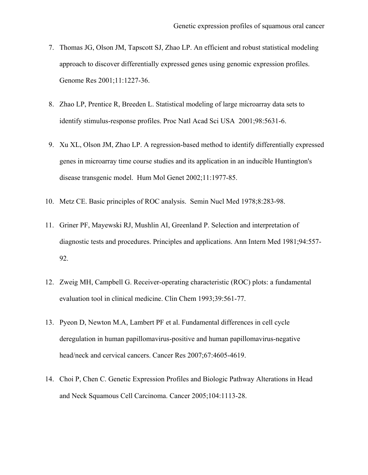- 7. Thomas JG, Olson JM, Tapscott SJ, Zhao LP. An efficient and robust statistical modeling approach to discover differentially expressed genes using genomic expression profiles. Genome Res 2001;11:1227-36.
- 8. Zhao LP, Prentice R, Breeden L. Statistical modeling of large microarray data sets to identify stimulus-response profiles. Proc Natl Acad Sci USA 2001;98:5631-6.
- 9. Xu XL, Olson JM, Zhao LP. A regression-based method to identify differentially expressed genes in microarray time course studies and its application in an inducible Huntington's disease transgenic model. Hum Mol Genet 2002;11:1977-85.
- 10. Metz CE. Basic principles of ROC analysis. Semin Nucl Med 1978;8:283-98.
- 11. Griner PF, Mayewski RJ, Mushlin AI, Greenland P. Selection and interpretation of diagnostic tests and procedures. Principles and applications. Ann Intern Med 1981;94:557- 92.
- 12. Zweig MH, Campbell G. Receiver-operating characteristic (ROC) plots: a fundamental evaluation tool in clinical medicine. Clin Chem 1993;39:561-77.
- 13. Pyeon D, Newton M.A, Lambert PF et al. Fundamental differences in cell cycle deregulation in human papillomavirus-positive and human papillomavirus-negative head/neck and cervical cancers. Cancer Res 2007;67:4605-4619.
- 14. Choi P, Chen C. Genetic Expression Profiles and Biologic Pathway Alterations in Head and Neck Squamous Cell Carcinoma. Cancer 2005;104:1113-28.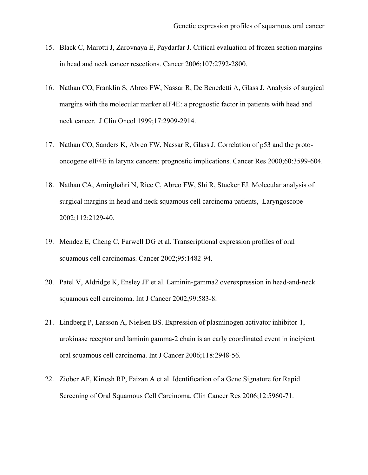- 15. Black C, Marotti J, Zarovnaya E, Paydarfar J. Critical evaluation of frozen section margins in head and neck cancer resections. Cancer 2006;107:2792-2800.
- 16. Nathan CO, Franklin S, Abreo FW, Nassar R, De Benedetti A, Glass J. Analysis of surgical margins with the molecular marker eIF4E: a prognostic factor in patients with head and neck cancer. J Clin Oncol 1999;17:2909-2914.
- 17. Nathan CO, Sanders K, Abreo FW, Nassar R, Glass J. Correlation of p53 and the protooncogene eIF4E in larynx cancers: prognostic implications. Cancer Res 2000;60:3599-604.
- 18. Nathan CA, Amirghahri N, Rice C, Abreo FW, Shi R, Stucker FJ. Molecular analysis of surgical margins in head and neck squamous cell carcinoma patients, Laryngoscope 2002;112:2129-40.
- 19. Mendez E, Cheng C, Farwell DG et al. Transcriptional expression profiles of oral squamous cell carcinomas. Cancer 2002;95:1482-94.
- 20. Patel V, Aldridge K, Ensley JF et al. Laminin-gamma2 overexpression in head-and-neck squamous cell carcinoma. Int J Cancer 2002;99:583-8.
- 21. Lindberg P, Larsson A, Nielsen BS. Expression of plasminogen activator inhibitor-1, urokinase receptor and laminin gamma-2 chain is an early coordinated event in incipient oral squamous cell carcinoma. Int J Cancer 2006;118:2948-56.
- 22. Ziober AF, Kirtesh RP, Faizan A et al. Identification of a Gene Signature for Rapid Screening of Oral Squamous Cell Carcinoma. Clin Cancer Res 2006;12:5960-71.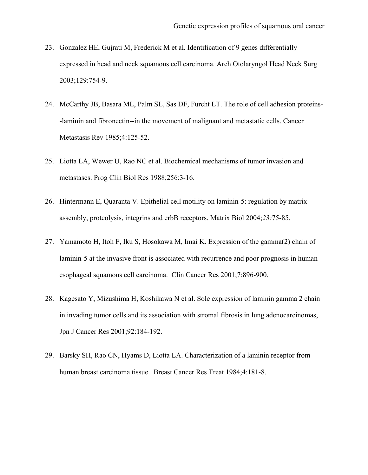- 23. Gonzalez HE, Gujrati M, Frederick M et al. Identification of 9 genes differentially expressed in head and neck squamous cell carcinoma. Arch Otolaryngol Head Neck Surg 2003;129:754-9.
- 24. McCarthy JB, Basara ML, Palm SL, Sas DF, Furcht LT. The role of cell adhesion proteins- -laminin and fibronectin--in the movement of malignant and metastatic cells. Cancer Metastasis Rev 1985;4:125-52.
- 25. Liotta LA, Wewer U, Rao NC et al. Biochemical mechanisms of tumor invasion and metastases. Prog Clin Biol Res 1988;256:3-16.
- 26. Hintermann E, Quaranta V. Epithelial cell motility on laminin-5: regulation by matrix assembly, proteolysis, integrins and erbB receptors. Matrix Biol 2004;*23:*75-85.
- 27. Yamamoto H, Itoh F, Iku S, Hosokawa M, Imai K. Expression of the gamma(2) chain of laminin-5 at the invasive front is associated with recurrence and poor prognosis in human esophageal squamous cell carcinoma. Clin Cancer Res 2001;7:896-900.
- 28. Kagesato Y, Mizushima H, Koshikawa N et al. Sole expression of laminin gamma 2 chain in invading tumor cells and its association with stromal fibrosis in lung adenocarcinomas, Jpn J Cancer Res 2001;92:184-192.
- 29. Barsky SH, Rao CN, Hyams D, Liotta LA. Characterization of a laminin receptor from human breast carcinoma tissue. Breast Cancer Res Treat 1984;4:181-8.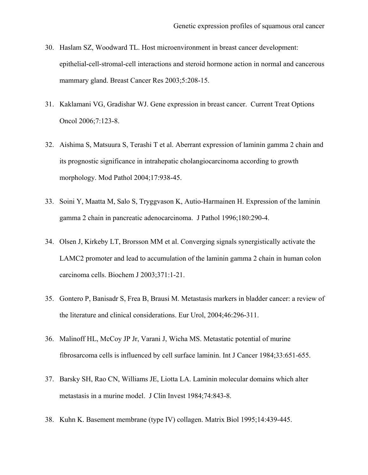- 30. Haslam SZ, Woodward TL. Host microenvironment in breast cancer development: epithelial-cell-stromal-cell interactions and steroid hormone action in normal and cancerous mammary gland. Breast Cancer Res 2003;5:208-15.
- 31. Kaklamani VG, Gradishar WJ. Gene expression in breast cancer. Current Treat Options Oncol 2006;7:123-8.
- 32. Aishima S, Matsuura S, Terashi T et al. Aberrant expression of laminin gamma 2 chain and its prognostic significance in intrahepatic cholangiocarcinoma according to growth morphology. Mod Pathol 2004;17:938-45.
- 33. Soini Y, Maatta M, Salo S, Tryggvason K, Autio-Harmainen H. Expression of the laminin gamma 2 chain in pancreatic adenocarcinoma. J Pathol 1996;180:290-4.
- 34. Olsen J, Kirkeby LT, Brorsson MM et al. Converging signals synergistically activate the LAMC2 promoter and lead to accumulation of the laminin gamma 2 chain in human colon carcinoma cells. Biochem J 2003;371:1-21.
- 35. Gontero P, Banisadr S, Frea B, Brausi M. Metastasis markers in bladder cancer: a review of the literature and clinical considerations. Eur Urol, 2004;46:296-311.
- 36. Malinoff HL, McCoy JP Jr, Varani J, Wicha MS. Metastatic potential of murine fibrosarcoma cells is influenced by cell surface laminin. Int J Cancer 1984;33:651-655.
- 37. Barsky SH, Rao CN, Williams JE, Liotta LA. Laminin molecular domains which alter metastasis in a murine model. J Clin Invest 1984;74:843-8.
- 38. Kuhn K. Basement membrane (type IV) collagen. Matrix Biol 1995;14:439-445.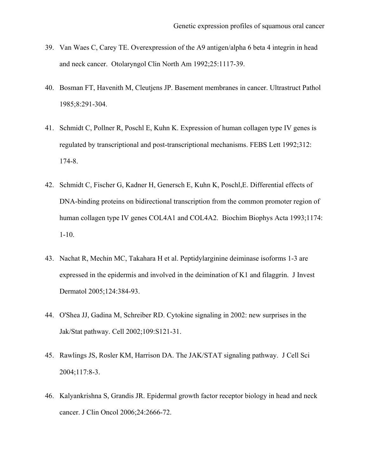- 39. Van Waes C, Carey TE. Overexpression of the A9 antigen/alpha 6 beta 4 integrin in head and neck cancer. Otolaryngol Clin North Am 1992;25:1117-39.
- 40. Bosman FT, Havenith M, Cleutjens JP. Basement membranes in cancer. Ultrastruct Pathol 1985;8:291-304.
- 41. Schmidt C, Pollner R, Poschl E, Kuhn K. Expression of human collagen type IV genes is regulated by transcriptional and post-transcriptional mechanisms. FEBS Lett 1992;312: 174-8.
- 42. Schmidt C, Fischer G, Kadner H, Genersch E, Kuhn K, Poschl,E. Differential effects of DNA-binding proteins on bidirectional transcription from the common promoter region of human collagen type IV genes COL4A1 and COL4A2. Biochim Biophys Acta 1993;1174: 1-10.
- 43. Nachat R, Mechin MC, Takahara H et al. Peptidylarginine deiminase isoforms 1-3 are expressed in the epidermis and involved in the deimination of K1 and filaggrin. J Invest Dermatol 2005;124:384-93.
- 44. O'Shea JJ, Gadina M, Schreiber RD. Cytokine signaling in 2002: new surprises in the Jak/Stat pathway. Cell 2002;109:S121-31.
- 45. Rawlings JS, Rosler KM, Harrison DA. The JAK/STAT signaling pathway. J Cell Sci 2004;117:8-3.
- 46. Kalyankrishna S, Grandis JR. Epidermal growth factor receptor biology in head and neck cancer. J Clin Oncol 2006;24:2666-72.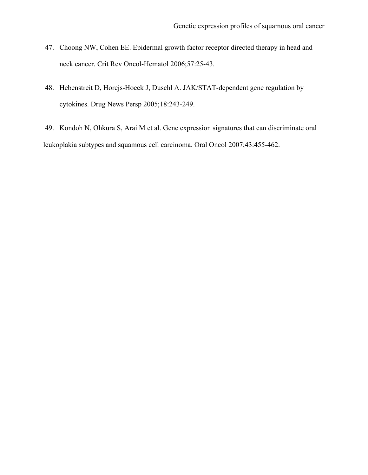- 47. Choong NW, Cohen EE. Epidermal growth factor receptor directed therapy in head and neck cancer. Crit Rev Oncol-Hematol 2006;57:25-43.
- 48. Hebenstreit D, Horejs-Hoeck J, Duschl A. JAK/STAT-dependent gene regulation by cytokines. Drug News Persp 2005;18:243-249.

 49. Kondoh N, Ohkura S, Arai M et al. Gene expression signatures that can discriminate oral leukoplakia subtypes and squamous cell carcinoma. Oral Oncol 2007;43:455-462.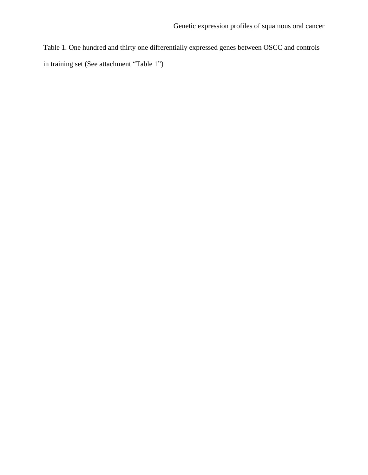Table 1. One hundred and thirty one differentially expressed genes between OSCC and controls in training set (See attachment "Table 1")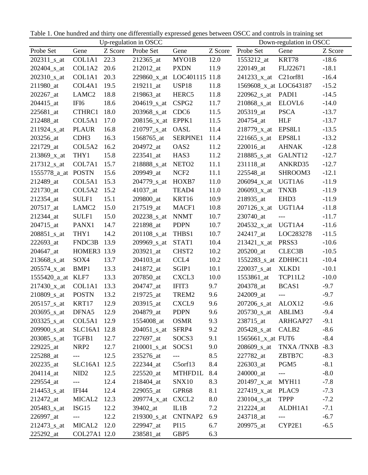Table 1. One hundred and thirty one differentially expressed genes between OSCC and controls in training set

| Up-regulation in OSCC     |                                          |         |                           | Down-regulation in OSCC  |         |                           |                          |         |
|---------------------------|------------------------------------------|---------|---------------------------|--------------------------|---------|---------------------------|--------------------------|---------|
| Probe Set                 | Gene                                     | Z Score | Probe Set                 | Gene                     | Z Score | Probe Set                 | Gene                     | Z Score |
| $202311$ _s_at            | COL1A1                                   | 22.3    | 212365_at                 | MYO1B                    | 12.0    | 1553212_at                | KRT78                    | $-18.6$ |
| 202404_s_at               | COL1A2                                   | 20.6    | 212012_at                 | <b>PXDN</b>              | 11.9    | 220149_at                 | FLJ22671                 | $-18.1$ |
| $202310$ _s_at            | COL1A1                                   | 20.3    | $229860_x$ _x_at          | LOC401115 11.8           |         | $241233_x$ _x_at          | C <sub>21</sub> orf81    | $-16.4$ |
| 211980_at                 | COL4A1                                   | 19.5    | $219211$ _at              | USP18                    | 11.8    | 1569608_x_at LOC643187    |                          | $-15.2$ |
| 202267_at                 | LAMC <sub>2</sub>                        | 18.8    | 219863_at                 | HERC5                    | 11.8    | $220962$ _s_at            | PADI1                    | $-14.5$ |
| 204415_at                 | IFI <sub>6</sub>                         | 18.6    | $204619$ <sub>_S_at</sub> | CSPG <sub>2</sub>        | 11.7    | 210868 s at               | ELOVL6                   | $-14.0$ |
| 225681_at                 | CTHRC1                                   | 18.0    | 203968_s_at               | CDC <sub>6</sub>         | 11.5    | 205319_at                 | <b>PSCA</b>              | $-13.7$ |
| 212488_at                 | COL5A1                                   | 17.0    | $208156_x_{at}$           | EPPK1                    | 11.5    | 204754_at                 | <b>HLF</b>               | $-13.7$ |
| $211924$ <sub>_S_at</sub> | <b>PLAUR</b>                             | 16.8    | $210797$ _s_at            | OASL                     | 11.4    | $218779_x$ _at            | EPS8L1                   | $-13.5$ |
| 203256_at                 | CDH <sub>3</sub>                         | 16.3    | 1568765_at                | SERPINE1                 | 11.4    | $221665$ <sub>_S_at</sub> | EPS8L1                   | $-13.2$ |
| 221729_at                 | COL5A2                                   | 16.2    | 204972_at                 | OAS <sub>2</sub>         | 11.2    | 220016_at                 | <b>AHNAK</b>             | $-12.8$ |
| 213869_x_at               | THY1                                     | 15.8    | 223541_at                 | HAS3                     | 11.2    | $218885$ _s_at            | GALNT12                  | $-12.7$ |
| $217312$ _s_at            | COL7A1                                   | 15.7    | 218888_s_at               | NETO <sub>2</sub>        | 11.1    | 231118_at                 | ANKRD35                  | $-12.7$ |
| 1555778_a_at POSTN        |                                          | 15.6    | 209949_at                 | NCF <sub>2</sub>         | 11.1    | 225548 at                 | SHROOM3                  | $-12.1$ |
| 212489_at                 | COL5A1                                   | 15.3    | 204779_s_at               | HOXB7                    | 11.0    | $206094_x_{at}$           | UGT1A6                   | $-11.9$ |
| 221730_at                 | COL5A2                                   | 15.2    | 41037_at                  | TEAD4                    | 11.0    | $206093_x_{at}$           | <b>TNXB</b>              | $-11.9$ |
| 212354_at                 | SULF1                                    | 15.1    | 209800_at                 | KRT16                    | 10.9    | 218935 at                 | EHD <sub>3</sub>         | $-11.9$ |
| 207517_at                 | LAMC <sub>2</sub>                        | 15.0    | 217519_at                 | MACF1                    | 10.8    | $207126_{xat}$            | UGT1A4                   | $-11.8$ |
| 212344_at                 | SULF1                                    | 15.0    | 202238_s_at               | <b>NNMT</b>              | 10.7    | 230740_at                 | ---                      | $-11.7$ |
| 204715_at                 | PANX1                                    | 14.7    | 221898_at                 | <b>PDPN</b>              | 10.7    | $204532_x_{at}$           | UGT1A4                   | $-11.6$ |
| $208851$ _s_at            | THY1                                     | 14.2    | 201108_s_at               | THBS1                    | 10.7    | 242417_at                 | LOC283278                | $-11.5$ |
| 222693_at                 | FNDC3B                                   | 13.9    | 209969_s_at               | STAT1                    | 10.4    | $213421_x$ _at            | PRSS3                    | $-10.6$ |
| 204647_at                 | HOMER3 13.9                              |         | 203921_at                 | CHST <sub>2</sub>        | 10.2    | 205200_at                 | CLEC3B                   | $-10.5$ |
| $213668$ _s_at            | SOX4                                     | 13.7    | 204103_at                 | CCL <sub>4</sub>         | 10.2    | 1552283_s_at ZDHHC11      |                          | $-10.4$ |
| $205574_{xat}$            | BMP1                                     | 13.3    | 241872_at                 | SGIP1                    | 10.1    | $220037$ _s_at            | XLKD1                    | $-10.1$ |
| 1555420_a_at KLF7         |                                          | 13.3    | 207850_at                 | CXCL <sub>3</sub>        | 10.0    | 1553861_at                | TCP11L2                  | $-10.0$ |
| $217430_x$ _at            | COL1A1                                   | 13.3    | 204747_at                 | IFIT3                    | 9.7     | 204378_at                 | BCAS1                    | $-9.7$  |
| $210809$ <sub>_S_at</sub> | <b>POSTN</b>                             | 13.2    | 219725_at                 | TREM2                    | 9.6     | 242009_at                 | $---$                    | $-9.7$  |
| 205157_s_at               | KRT17                                    | 12.9    | 203915_at                 | CXCL9                    | 9.6     | 207206_s_at               | ALOX12                   | $-9.6$  |
| $203695$ _s_at            | DFNA5                                    | 12.9    | 204879_at                 | <b>PDPN</b>              | 9.6     | $205730$ _s_at            | ABLIM3                   | $-9.4$  |
| $203325$ _s_at            | COL5A1                                   | 12.9    | 1554008_at                | <b>OSMR</b>              | 9.3     | 238715_at                 | ARHGAP27                 | $-9.1$  |
| $209900$ _s_at            | SLC16A1 12.8                             |         | $204051$ <sub>s</sub> _at | SFRP4                    | 9.2     | 205428 <sub>_8</sub> _at  | CALB <sub>2</sub>        | $-8.6$  |
| $203085$ <sub>_S_at</sub> | TGFB1                                    | 12.7    | 227697_at                 | SOCS3                    | 9.1     | 1565661_x_at FUT6         |                          | $-8.4$  |
| 229225_at                 | NRP <sub>2</sub>                         | 12.7    | $210001$ _s_at            | SOCS <sub>1</sub>        | 9.0     | $208609$ _s_at            | <b>TNXA/TNXB</b>         | $-8.3$  |
| 225288_at                 | $\hspace{0.05cm} \ldots \hspace{0.05cm}$ | 12.5    | 235276_at                 | $\scriptstyle{\cdots}$ . | 8.5     | 227782_at                 | ZBTB7C                   | $-8.3$  |
| 202235_at                 | SLC16A1 12.5                             |         | 222344_at                 | C5orf13                  | 8.4     | 226303_at                 | PGM5                     | $-8.1$  |
| 204114_at                 | NID <sub>2</sub>                         | 12.5    | $225520$ _at              | MTHFD1L                  | 8.4     | 240000_at                 | $\overline{\phantom{a}}$ | $-8.0$  |
| 229554_at                 | $---$                                    | 12.4    | 218404_at                 | SNX10                    | 8.3     | $201497_{xat}$            | MYH11                    | $-7.8$  |
| $214453$ <sub>_S_at</sub> | IFI44                                    | 12.4    | 229055_at                 | GPR68                    | 8.1     | $227419_x$ _at            | PLAC9                    | $-7.3$  |
| 212472_at                 | MICAL <sub>2</sub>                       | 12.3    | 209774_x_at CXCL2         |                          | 8.0     | $230104$ _s_at            | <b>TPPP</b>              | $-7.2$  |
| $205483$ _s_at            | ISG15                                    | 12.2    | 39402_at                  | IL1B                     | 7.2     | 212224_at                 | ALDH1A1                  | $-7.1$  |
| 226997_at                 |                                          | 12.2    | 219300_s_at CNTNAP2       |                          | 6.9     | 243718_at                 | ---                      | $-6.7$  |
| $212473$ <sub>_S_at</sub> | MICAL <sub>2</sub>                       | 12.0    | 229947_at                 | PI15                     | 6.7     | 209975_at                 | CYP2E1                   | $-6.5$  |
| 225292_at                 | COL27A1 12.0                             |         | 238581_at                 | GBP5                     | 6.3     |                           |                          |         |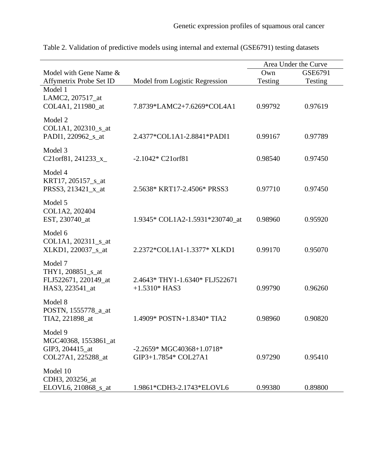|                                                                          |                                                     | Area Under the Curve |         |
|--------------------------------------------------------------------------|-----------------------------------------------------|----------------------|---------|
| Model with Gene Name &                                                   |                                                     | Own                  | GSE6791 |
| Affymetrix Probe Set ID                                                  | Model from Logistic Regression                      | Testing              | Testing |
| Model 1<br>LAMC2, 207517_at<br>COL4A1, 211980_at                         | 7.8739*LAMC2+7.6269*COL4A1                          | 0.99792              | 0.97619 |
| Model 2<br>COL1A1, 202310_s_at<br>PADI1, 220962 s at                     | 2.4377*COL1A1-2.8841*PADI1                          | 0.99167              | 0.97789 |
| Model 3<br>C21orf81, 241233 $_x$                                         | $-2.1042 * C21$ or f 81                             | 0.98540              | 0.97450 |
| Model 4<br>KRT17, 205157_s_at<br>PRSS3, 213421_x_at                      | 2.5638* KRT17-2.4506* PRSS3                         | 0.97710              | 0.97450 |
| Model 5<br>COL1A2, 202404<br>EST, 230740_at                              | 1.9345* COL1A2-1.5931*230740_at                     | 0.98960              | 0.95920 |
| Model 6<br>COL1A1, 202311_s_at<br>XLKD1, 220037_s_at                     | 2.2372*COL1A1-1.3377* XLKD1                         | 0.99170              | 0.95070 |
| Model 7<br>THY1, 208851_s_at<br>FLJ522671, 220149_at<br>HAS3, 223541_at  | 2.4643*THY1-1.6340*FLJ522671<br>$+1.5310*$ HAS3     | 0.99790              | 0.96260 |
| Model 8<br>POSTN, 1555778_a_at<br>TIA2, 221898_at                        | 1.4909* POSTN+1.8340* TIA2                          | 0.98960              | 0.90820 |
| Model 9<br>MGC40368, 1553861_at<br>GIP3, 204415_at<br>COL27A1, 225288_at | $-2.2659* MGC40368+1.0718*$<br>GIP3+1.7854* COL27A1 | 0.97290              | 0.95410 |
| Model 10<br>CDH3, 203256_at<br>ELOVL6, 210868_s_at                       | 1.9861*CDH3-2.1743*ELOVL6                           | 0.99380              | 0.89800 |

Table 2. Validation of predictive models using internal and external (GSE6791) testing datasets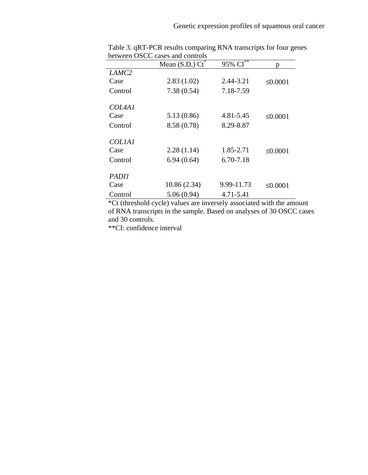|                   | Mean (S.D.) $\overline{Ct}^*$ | 95% $\overline{\text{CI}^{**}}$ | n             |
|-------------------|-------------------------------|---------------------------------|---------------|
| LAMC <sub>2</sub> |                               |                                 |               |
| Case              | 2.83(1.02)                    | 2.44-3.21                       | $\leq 0.0001$ |
| Control           | 7.38(0.54)                    | 7.18-7.59                       |               |
| <i>COLAA1</i>     |                               |                                 |               |
| Case              | 5.13 (0.86)                   | 4.81-5.45                       | $\leq 0.0001$ |
| Control           | 8.58 (0.78)                   | 8.29-8.87                       |               |
| <b>COLIAI</b>     |                               |                                 |               |
| Case              | 2.28(1.14)                    | 1.85-2.71                       | $\leq 0.0001$ |
| Control           | 6.94(0.64)                    | 6.70-7.18                       |               |
| <i>PADII</i>      |                               |                                 |               |
| Case              | 10.86 (2.34)                  | 9.99-11.73                      | $\leq 0.0001$ |
| Control           | 5.06(0.94)                    | 4.71-5.41                       |               |

 Table 3. qRT-PCR results comparing RNA transcripts for four genes between OSCC cases and controls

 \*Ct (threshold cycle) values are inversely associated with the amount of RNA transcripts in the sample. Based on analyses of 30 OSCC cases and 30 controls.

\*\*CI: confidence interval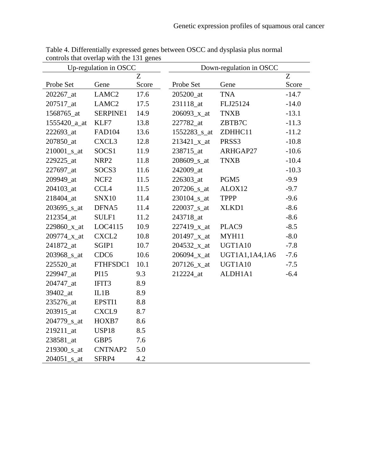| Up-regulation in OSCC   |                   |       | Down-regulation in OSCC    |                |         |  |
|-------------------------|-------------------|-------|----------------------------|----------------|---------|--|
|                         |                   | Z     |                            |                | Z       |  |
| Probe Set               | Gene              | Score | Probe Set                  | Gene           | Score   |  |
| 202267_at               | LAMC <sub>2</sub> | 17.6  | 205200_at                  | <b>TNA</b>     | $-14.7$ |  |
| 207517_at               | LAMC <sub>2</sub> | 17.5  | 231118_at                  | FLJ25124       | $-14.0$ |  |
| 1568765_at              | SERPINE1          | 14.9  | $206093_x$ _x_at           | <b>TNXB</b>    | $-13.1$ |  |
| 1555420_a_at            | KLF7              | 13.8  | 227782_at                  | ZBTB7C         | $-11.3$ |  |
| 222693_at               | <b>FAD104</b>     | 13.6  | 1552283_s_at               | ZDHHC11        | $-11.2$ |  |
| 207850_at               | CXCL3             | 12.8  | $213421_x$ _at             | PRSS3          | $-10.8$ |  |
| 210001_s_at             | SOCS1             | 11.9  | 238715_at                  | ARHGAP27       | $-10.6$ |  |
| 229225_at               | NRP <sub>2</sub>  | 11.8  | $208609$ <sub>_S_</sub> at | <b>TNXB</b>    | $-10.4$ |  |
| 227697 at               | SOCS3             | 11.6  | 242009 at                  |                | $-10.3$ |  |
| 209949_at               | NCF <sub>2</sub>  | 11.5  | 226303_at                  | PGM5           | $-9.9$  |  |
| 204103_at               | CCL <sub>4</sub>  | 11.5  | 207206_s_at                | ALOX12         | $-9.7$  |  |
| 218404_at               | <b>SNX10</b>      | 11.4  | $230104$ <sub>_S_at</sub>  | <b>TPPP</b>    | $-9.6$  |  |
| $203695$ _s_at          | DFNA5             | 11.4  | $220037$ _s_at             | XLKD1          | $-8.6$  |  |
| 212354 at               | SULF1             | 11.2  | 243718 at                  |                | $-8.6$  |  |
| 229860_x_at             | LOC4115           | 10.9  | $227419_x$ _at             | PLAC9          | $-8.5$  |  |
| 209774_x_at             | CXCL <sub>2</sub> | 10.8  | $201497_{xat}$             | MYH11          | $-8.0$  |  |
| 241872_at               | SGIP1             | 10.7  | $204532_x$ _x_at           | UGT1A10        | $-7.8$  |  |
| 203968_s_at             | CDC <sub>6</sub>  | 10.6  | $206094_x$ _x_at           | UGT1A1,1A4,1A6 | $-7.6$  |  |
| 225520_at               | FTHFSDC1          | 10.1  | 207126_x_at                | UGT1A10        | $-7.5$  |  |
| 229947_at               | PI15              | 9.3   | 212224_at                  | ALDH1A1        | $-6.4$  |  |
| 204747_at               | IFIT3             | 8.9   |                            |                |         |  |
| 39402_at                | IL1B              | 8.9   |                            |                |         |  |
| 235276 at               | EPSTI1            | 8.8   |                            |                |         |  |
| 203915_at               | CXCL9             | 8.7   |                            |                |         |  |
| 204779 <sub>_S_at</sub> | HOXB7             | 8.6   |                            |                |         |  |
| 219211_at               | USP18             | 8.5   |                            |                |         |  |
| 238581_at               | GBP5              | 7.6   |                            |                |         |  |
| 219300_s_at             | CNTNAP2           | 5.0   |                            |                |         |  |
| $204051$ _s_at          | SFRP4             | 4.2   |                            |                |         |  |

Table 4. Differentially expressed genes between OSCC and dysplasia plus normal controls that overlap with the 131 genes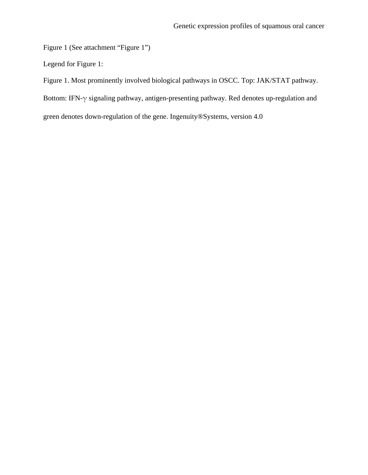Figure 1 (See attachment "Figure 1")

Legend for Figure 1:

Figure 1. Most prominently involved biological pathways in OSCC. Top: JAK/STAT pathway.

Bottom: IFN-γ signaling pathway, antigen-presenting pathway. Red denotes up-regulation and

green denotes down-regulation of the gene. Ingenuity®Systems, version 4.0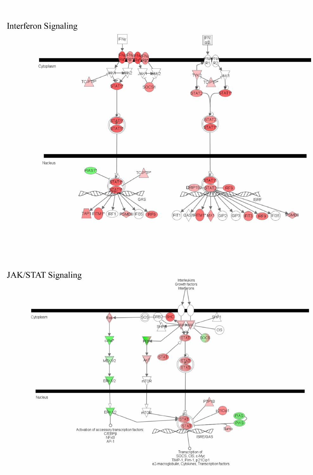# Interferon Signaling